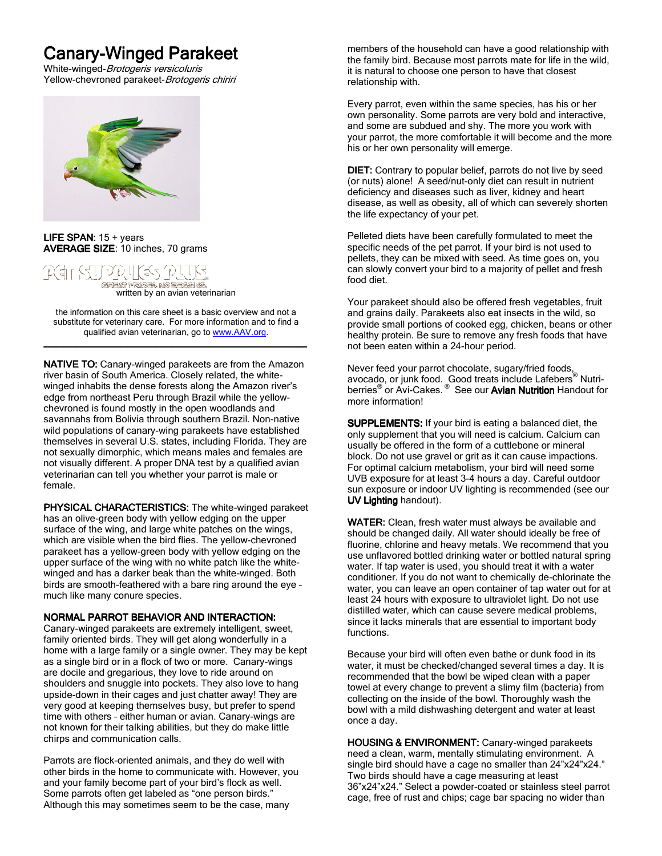# **Canary-Winged Parakeet**

White-winged-Brotogeris versicoluris Yellow-chevroned parakeet-Brotogeris chiriri



#### LIFE SPAN:  $15 + \text{years}$ AVERAGE SIZE: 10 inches, 70 grams



.<br>written by an avian veterinarian

the information on this care sheet is a basic overview and not a substitute for veterinary care. For more information and to find a qualified avian veterinarian, go to www.AAV.org. \_\_\_\_\_\_\_\_\_\_\_\_\_\_\_\_\_\_\_\_\_\_\_\_\_\_\_\_\_\_\_\_\_\_\_\_\_\_\_\_\_\_\_\_\_\_\_\_\_ \_\_\_\_\_\_\_\_\_\_\_\_\_\_\_\_\_\_\_\_\_\_\_\_\_\_\_\_\_\_\_\_\_\_\_\_\_\_\_\_\_\_\_\_\_\_\_\_\_

**NATIVE TO:** Canary-winged parakeets are from the Amazon river basin of South America. Closely related, the whitewinged inhabits the dense forests along the Amazon river's edge from northeast Peru through Brazil while the yellowchevroned is found mostly in the open woodlands and savannahs from Bolivia through southern Brazil. Non-native wild populations of canary-wing parakeets have established themselves in several U.S. states, including Florida. They are not sexually dimorphic, which means males and females are not visually different. A proper DNA test by a qualified avian veterinarian can tell you whether your parrot is male or female.

**PHYSICAL CHARACTERISTICS:** The white-winged parakeet has an olive-green body with yellow edging on the upper surface of the wing, and large white patches on the wings, which are visible when the bird flies. The yellow-chevroned parakeet has a yellow-green body with yellow edging on the upper surface of the wing with no white patch like the whitewinged and has a darker beak than the white-winged. Both birds are smooth-feathered with a bare ring around the eye – much like many conure species.

## NORMAL PARROT BEHAVIOR AND INTERACTION:

Canary-winged parakeets are extremely intelligent, sweet, family oriented birds. They will get along wonderfully in a home with a large family or a single owner. They may be kept as a single bird or in a flock of two or more. Canary-wings are docile and gregarious, they love to ride around on shoulders and snuggle into pockets. They also love to hang upside-down in their cages and just chatter away! They are very good at keeping themselves busy, but prefer to spend time with others – either human or avian. Canary-wings are not known for their talking abilities, but they do make little chirps and communication calls.

Parrots are flock-oriented animals, and they do well with other birds in the home to communicate with. However, you and your family become part of your bird's flock as well. Some parrots often get labeled as "one person birds." Although this may sometimes seem to be the case, many

members of the household can have a good relationship with the family bird. Because most parrots mate for life in the wild, it is natural to choose one person to have that closest relationship with.

Every parrot, even within the same species, has his or her own personality. Some parrots are very bold and interactive, and some are subdued and shy. The more you work with your parrot, the more comfortable it will become and the more his or her own personality will emerge.

DIET: Contrary to popular belief, parrots do not live by seed (or nuts) alone! A seed/nut-only diet can result in nutrient deficiency and diseases such as liver, kidney and heart disease, as well as obesity, all of which can severely shorten the life expectancy of your pet.

Pelleted diets have been carefully formulated to meet the specific needs of the pet parrot. If your bird is not used to pellets, they can be mixed with seed. As time goes on, you can slowly convert your bird to a majority of pellet and fresh food diet.

Your parakeet should also be offered fresh vegetables, fruit and grains daily. Parakeets also eat insects in the wild, so provide small portions of cooked egg, chicken, beans or other healthy protein. Be sure to remove any fresh foods that have not been eaten within a 24-hour period.

Never feed your parrot chocolate, sugary/fried foods, avocado, or junk food. Good treats include Lafebers® Nutriberries<sup>®</sup> or Avi-Cakes.<sup>®</sup> See our Avian Nutrition Handout for more information!

SUPPLEMENTS: If your bird is eating a balanced diet, the only supplement that you will need is calcium. Calcium can usually be offered in the form of a cuttlebone or mineral block. Do not use gravel or grit as it can cause impactions. For optimal calcium metabolism, your bird will need some UVB exposure for at least 3-4 hours a day. Careful outdoor sun exposure or indoor UV lighting is recommended (see our UV Lighting handout).

WATER: Clean, fresh water must always be available and should be changed daily. All water should ideally be free of fluorine, chlorine and heavy metals. We recommend that you use unflavored bottled drinking water or bottled natural spring water. If tap water is used, you should treat it with a water conditioner. If you do not want to chemically de-chlorinate the water, you can leave an open container of tap water out for at least 24 hours with exposure to ultraviolet light. Do not use distilled water, which can cause severe medical problems, since it lacks minerals that are essential to important body functions.

Because your bird will often even bathe or dunk food in its water, it must be checked/changed several times a day. It is recommended that the bowl be wiped clean with a paper towel at every change to prevent a slimy film (bacteria) from collecting on the inside of the bowl. Thoroughly wash the bowl with a mild dishwashing detergent and water at least once a day.

HOUSING & ENVIRONMENT: Canary-winged parakeets need a clean, warm, mentally stimulating environment. A single bird should have a cage no smaller than 24"x24"x24." Two birds should have a cage measuring at least 36"x24"x24." Select a powder-coated or stainless steel parrot cage, free of rust and chips; cage bar spacing no wider than